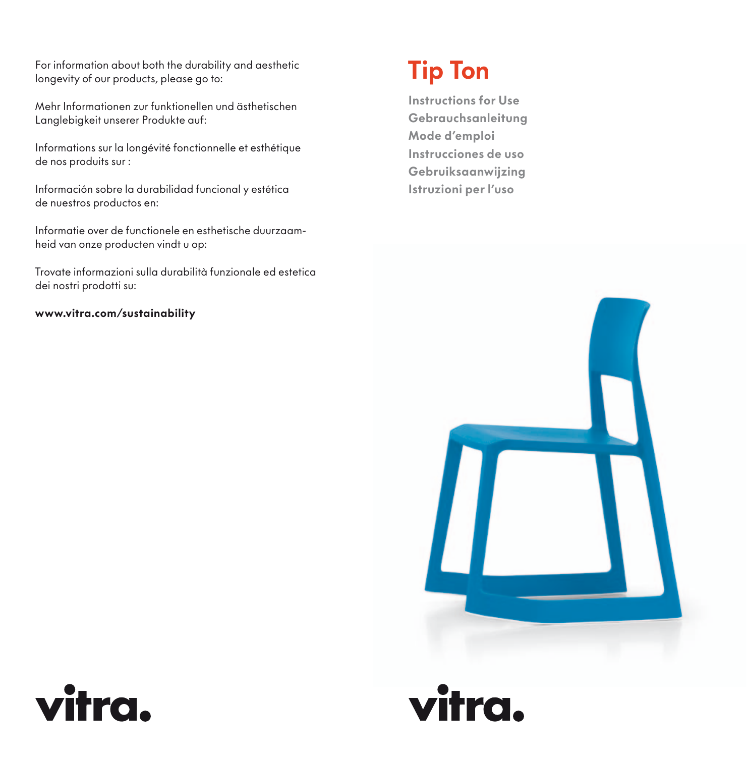For information about both the durability and aesthetic longevity of our products, please go to:

Mehr Informationen zur funktionellen und ästhetischen Langlebigkeit unserer Produkte auf:

Informations sur la longévité fonctionnelle et esthétique de nos produits sur :

Información sobre la durabilidad funcional y estética de nuestros productos en:

Informatie over de functionele en esthetische duurzaamheid van onze producten vindt u op:

Trovate informazioni sulla durabilità funzionale ed estetica dei nostri prodotti su:

## www.vitra.com/sustainability

# Tip Ton

Instructions for Use Gebrauchsanleitung Mode d'emploi Instrucciones de uso Gebruiksaanwijzing Istruzioni per l'uso





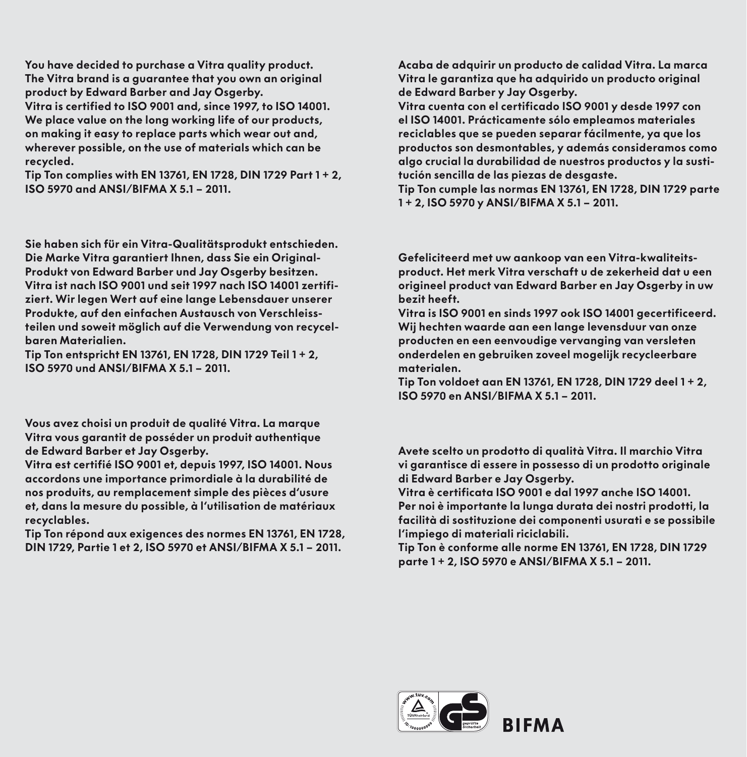You have decided to purchase a Vitra quality product. The Vitra brand is a guarantee that you own an original product by Edward Barber and Jay Osgerby. Vitra is certified to ISO 9001 and, since 1997, to ISO 14001. We place value on the long working life of our products, on making it easy to replace parts which wear out and, wherever possible, on the use of materials which can be recycled.

Tip Ton complies with EN 13761, EN 1728, DIN 1729 Part 1 + 2, ISO 5970 and ANSI/BIFMA X 5.1 – 2011.

Sie haben sich für ein Vitra-Qualitätsprodukt entschieden. Die Marke Vitra garantiert Ihnen, dass Sie ein Original-Produkt von Edward Barber und Jay Osgerby besitzen. Vitra ist nach ISO 9001 und seit 1997 nach ISO 14001 zertifiziert. Wir legen Wert auf eine lange Lebensdauer unserer Produkte, auf den einfachen Austausch von Verschleissteilen und soweit möglich auf die Verwendung von recycelbaren Materialien.

Tip Ton entspricht EN 13761, EN 1728, DIN 1729 Teil 1 + 2, ISO 5970 und ANSI/BIFMA X 5.1 – 2011.

Vous avez choisi un produit de qualité Vitra. La marque Vitra vous garantit de posséder un produit authentique de Edward Barber et Jay Osgerby.

Vitra est certifié ISO 9001 et, depuis 1997, ISO 14001. Nous accordons une importance primordiale à la durabilité de nos produits, au remplacement simple des pièces d'usure et, dans la mesure du possible, à l'utilisation de matériaux recyclables.

Tip Ton répond aux exigences des normes EN 13761, EN 1728, DIN 1729, Partie 1 et 2, ISO 5970 et ANSI/BIFMA X 5.1 – 2011.

Acaba de adquirir un producto de calidad Vitra. La marca Vitra le garantiza que ha adquirido un producto original de Edward Barber y Jay Osgerby.

Vitra cuenta con el certificado ISO 9001 y desde 1997 con el ISO 14001. Prácticamente sólo empleamos materiales reciclables que se pueden separar fácilmente, ya que los productos son desmontables, y además consideramos como algo crucial la durabilidad de nuestros productos y la sustitución sencilla de las piezas de desgaste.

Tip Ton cumple las normas EN 13761, EN 1728, DIN 1729 parte 1 + 2, ISO 5970 y ANSI/BIFMA X 5.1 – 2011.

Gefeliciteerd met uw aankoop van een Vitra-kwaliteitsproduct. Het merk Vitra verschaft u de zekerheid dat u een origineel product van Edward Barber en Jay Osgerby in uw bezit heeft.

Vitra is ISO 9001 en sinds 1997 ook ISO 14001 gecertificeerd. Wij hechten waarde aan een lange levensduur van onze producten en een eenvoudige vervanging van versleten onderdelen en gebruiken zoveel mogelijk recycleerbare materialen.

Tip Ton voldoet aan EN 13761, EN 1728, DIN 1729 deel 1 + 2, ISO 5970 en ANSI/BIFMA X 5.1 – 2011.

Avete scelto un prodotto di qualità Vitra. Il marchio Vitra vi garantisce di essere in possesso di un prodotto originale di Edward Barber e Jay Osgerby.

Vitra è certificata ISO 9001 e dal 1997 anche ISO 14001. Per noi è importante la lunga durata dei nostri prodotti, la facilità di sostituzione dei componenti usurati e se possibile l'impiego di materiali riciclabili.

Tip Ton è conforme alle norme EN 13761, EN 1728, DIN 1729 parte 1 + 2, ISO 5970 e ANSI/BIFMA X 5.1 – 2011.

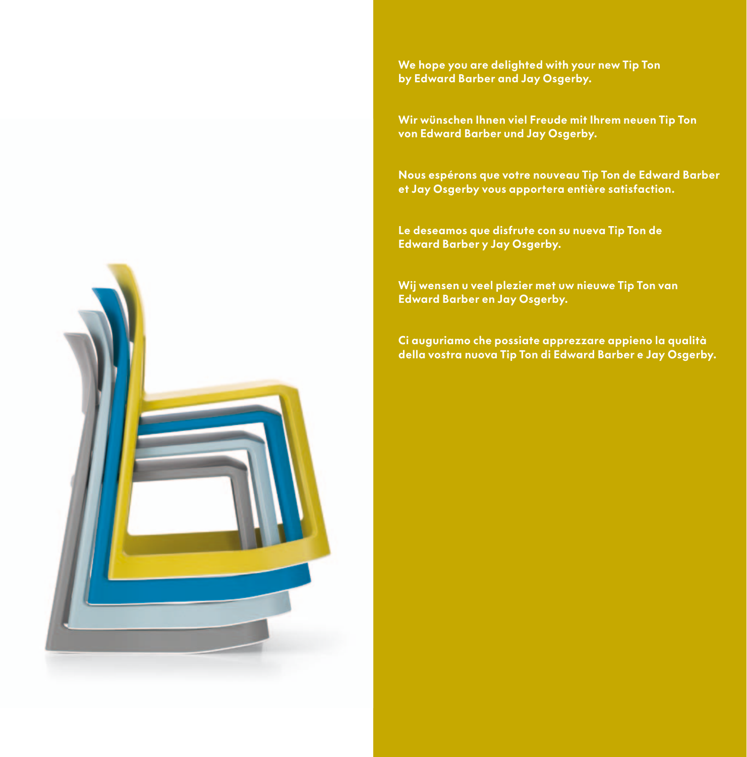We hope you are delighted with your new Tip Ton by Edward Barber and Jay Osgerby.

Wir wünschen Ihnen viel Freude mit Ihrem neuen Tip Ton von Edward Barber und Jay Osgerby.

Nous espérons que votre nouveau Tip Ton de Edward Barber et Jay Osgerby vous apportera entière satisfaction.

Le deseamos que disfrute con su nueva Tip Ton de Edward Barber y Jay Osgerby.

Wij wensen u veel plezier met uw nieuwe Tip Ton van Edward Barber en Jay Osgerby.

Ci auguriamo che possiate apprezzare appieno la qualità della vostra nuova Tip Ton di Edward Barber e Jay Osgerby.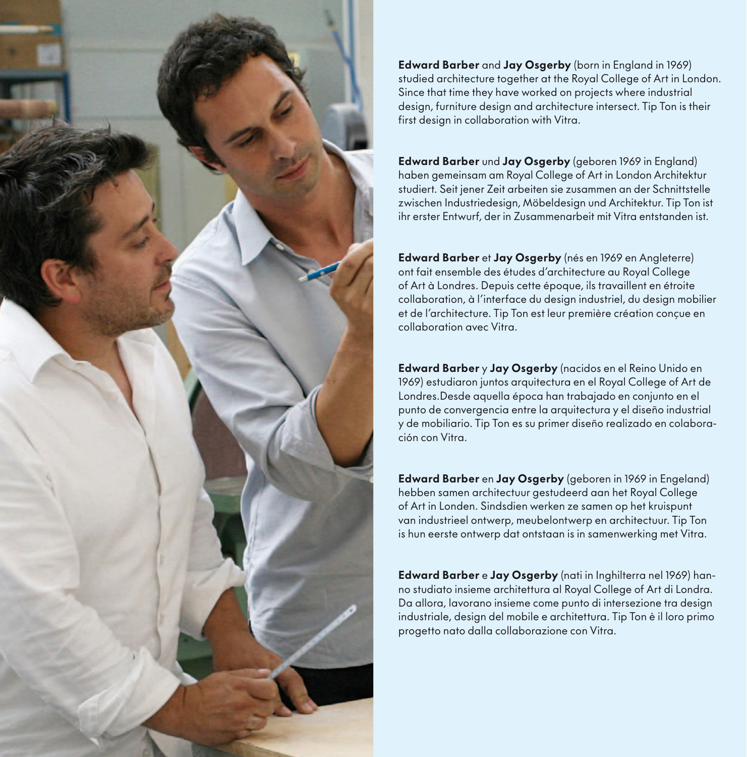

Edward Barber and Jay Osgerby (born in England in 1969) studied architecture together at the Royal College of Art in London. Since that time they have worked on projects where industrial design, furniture design and architecture intersect. Tip Ton is their first design in collaboration with Vitra.

Edward Barber und Jay Osgerby (geboren 1969 in England) haben gemeinsam am Royal College of Art in London Architektur studiert. Seit jener Zeit arbeiten sie zusammen an der Schnittstelle zwischen Industriedesign, Möbeldesign und Architektur. Tip Ton ist ihr erster Entwurf, der in Zusammenarbeit mit Vitra entstanden ist.

Edward Barber et Jay Osgerby (nés en 1969 en Angleterre) ont fait ensemble des études d'architecture au Royal College of Art à Londres. Depuis cette époque, ils travaillent en étroite collaboration, à l'interface du design industriel, du design mobilier et de l'architecture. Tip Ton est leur première création conçue en collaboration avec Vitra.

Edward Barber y Jay Osgerby (nacidos en el Reino Unido en 1969) estudiaron juntos arquitectura en el Royal College of Art de Londres.Desde aquella época han trabajado en conjunto en el punto de convergencia entre la arquitectura y el diseño industrial y de mobiliario. Tip Ton es su primer diseño realizado en colaboración con Vitra.

Edward Barber en Jay Osaerby (geboren in 1969 in Engeland) hebben samen architectuur gestudeerd aan het Royal College of Art in Londen. Sindsdien werken ze samen op het kruispunt van industrieel ontwerp, meubelontwerp en architectuur. Tip Ton is hun eerste ontwerp dat ontstaan is in samenwerking met Vitra.

Edward Barber e Jay Osgerby (nati in Inghilterra nel 1969) hanno studiato insieme architettura al Royal College of Art di Londra. Da allora, lavorano insieme come punto di intersezione tra design industriale, design del mobile e architettura. Tip Ton è il loro primo progetto nato dalla collaborazione con Vitra.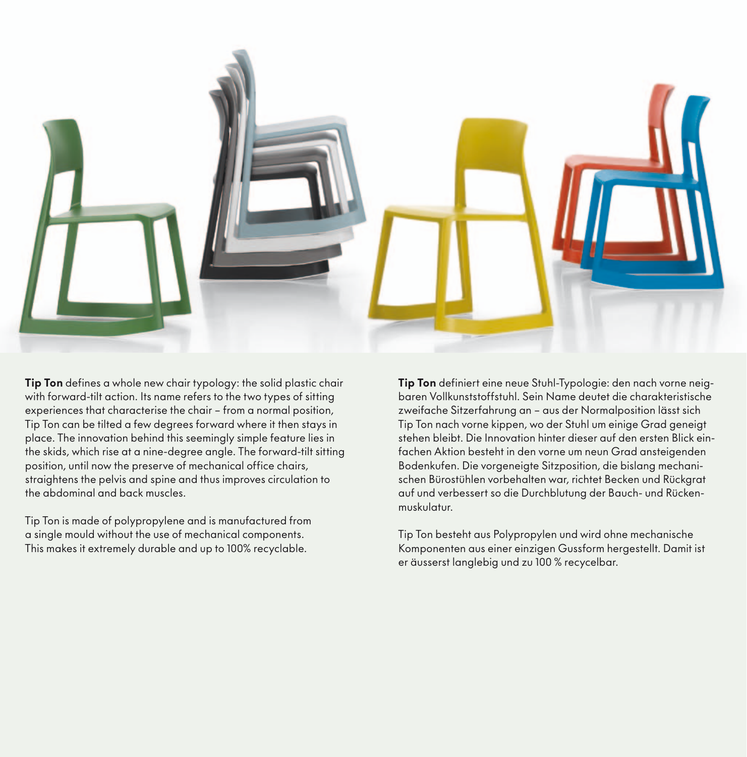

Tip Ton defines a whole new chair typology: the solid plastic chair with forward-tilt action. Its name refers to the two types of sitting experiences that characterise the chair – from a normal position, Tip Ton can be tilted a few degrees forward where it then stays in place. The innovation behind this seemingly simple feature lies in the skids, which rise at a nine-degree angle. The forward-tilt sitting position, until now the preserve of mechanical office chairs, straightens the pelvis and spine and thus improves circulation to the abdominal and back muscles.

Tip Ton is made of polypropylene and is manufactured from a single mould without the use of mechanical components. This makes it extremely durable and up to 100% recyclable.

Tip Ton definiert eine neue Stuhl-Typologie: den nach vorne neigbaren Vollkunststoffstuhl. Sein Name deutet die charakteristische zweifache Sitzerfahrung an – aus der Normalposition lässt sich Tip Ton nach vorne kippen, wo der Stuhl um einige Grad geneigt stehen bleibt. Die Innovation hinter dieser auf den ersten Blick einfachen Aktion besteht in den vorne um neun Grad ansteigenden Bodenkufen. Die vorgeneigte Sitzposition, die bislang mechanischen Bürostühlen vorbehalten war, richtet Becken und Rückgrat auf und verbessert so die Durchblutung der Bauch- und Rückenmuskulatur.

Tip Ton besteht aus Polypropylen und wird ohne mechanische Komponenten aus einer einzigen Gussform hergestellt. Damit ist er äusserst langlebig und zu 100 % recycelbar.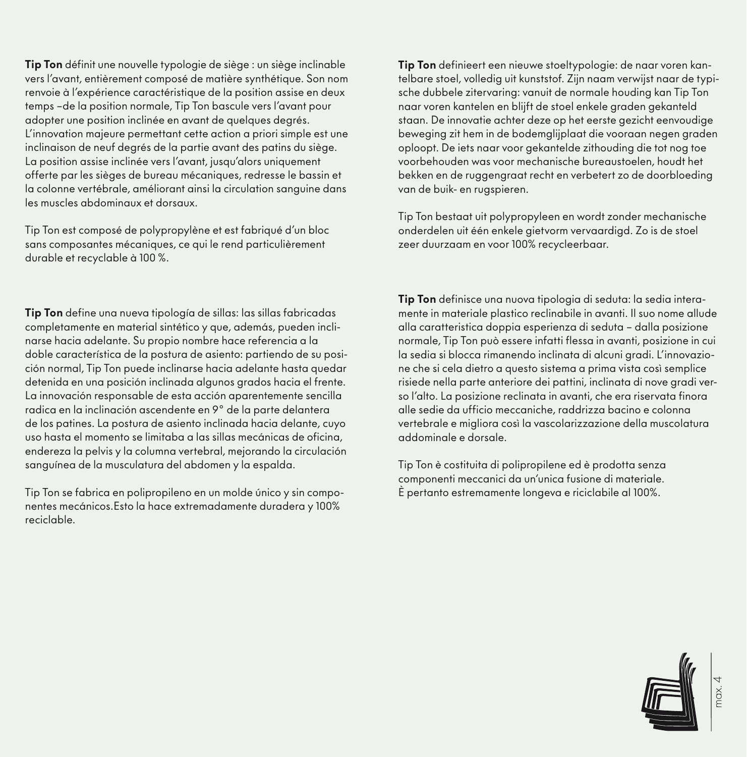Tip Ton définit une nouvelle typologie de siège : un siège inclinable vers l'avant, entièrement composé de matière synthétique. Son nom renvoie à l'expérience caractéristique de la position assise en deux temps –de la position normale, Tip Ton bascule vers l'avant pour adopter une position inclinée en avant de quelques degrés. L'innovation majeure permettant cette action a priori simple est une inclinaison de neuf degrés de la partie avant des patins du siège. La position assise inclinée vers l'avant, jusqu'alors uniquement offerte par les sièges de bureau mécaniques, redresse le bassin et la colonne vertébrale, améliorant ainsi la circulation sanguine dans les muscles abdominaux et dorsaux.

Tip Ton est composé de polypropylène et est fabriqué d'un bloc sans composantes mécaniques, ce qui le rend particulièrement durable et recyclable à 100 %.

Tip Ton define una nueva tipología de sillas: las sillas fabricadas completamente en material sintético y que, además, pueden inclinarse hacia adelante. Su propio nombre hace referencia a la doble característica de la postura de asiento: partiendo de su posición normal, Tip Ton puede inclinarse hacia adelante hasta quedar detenida en una posición inclinada algunos grados hacia el frente. La innovación responsable de esta acción aparentemente sencilla radica en la inclinación ascendente en 9° de la parte delantera de los patines. La postura de asiento inclinada hacia delante, cuyo uso hasta el momento se limitaba a las sillas mecánicas de oficina, endereza la pelvis y la columna vertebral, mejorando la circulación sanguínea de la musculatura del abdomen y la espalda.

Tip Ton se fabrica en polipropileno en un molde único y sin componentes mecánicos.Esto la hace extremadamente duradera y 100% reciclable.

Tip Ton definieert een nieuwe stoeltypologie: de naar voren kantelbare stoel, volledig uit kunststof. Zijn naam verwijst naar de typische dubbele zitervaring: vanuit de normale houding kan Tip Ton naar voren kantelen en blijft de stoel enkele graden gekanteld staan. De innovatie achter deze op het eerste gezicht eenvoudige beweging zit hem in de bodemglijplaat die vooraan negen graden oploopt. De iets naar voor gekantelde zithouding die tot nog toe voorbehouden was voor mechanische bureaustoelen, houdt het bekken en de ruggengraat recht en verbetert zo de doorbloeding van de buik- en rugspieren.

Tip Ton bestaat uit polypropyleen en wordt zonder mechanische onderdelen uit één enkele gietvorm vervaardigd. Zo is de stoel zeer duurzaam en voor 100% recycleerbaar.

Tip Ton definisce una nuova tipologia di seduta: la sedia interamente in materiale plastico reclinabile in avanti. Il suo nome allude alla caratteristica doppia esperienza di seduta – dalla posizione normale, Tip Ton può essere infatti flessa in avanti, posizione in cui la sedia si blocca rimanendo inclinata di alcuni gradi. L'innovazione che si cela dietro a questo sistema a prima vista così semplice risiede nella parte anteriore dei pattini, inclinata di nove gradi verso l'alto. La posizione reclinata in avanti, che era riservata finora alle sedie da ufficio meccaniche, raddrizza bacino e colonna vertebrale e migliora così la vascolarizzazione della muscolatura addominale e dorsale.

Tip Ton è costituita di polipropilene ed è prodotta senza componenti meccanici da un'unica fusione di materiale. È pertanto estremamente longeva e riciclabile al 100%.

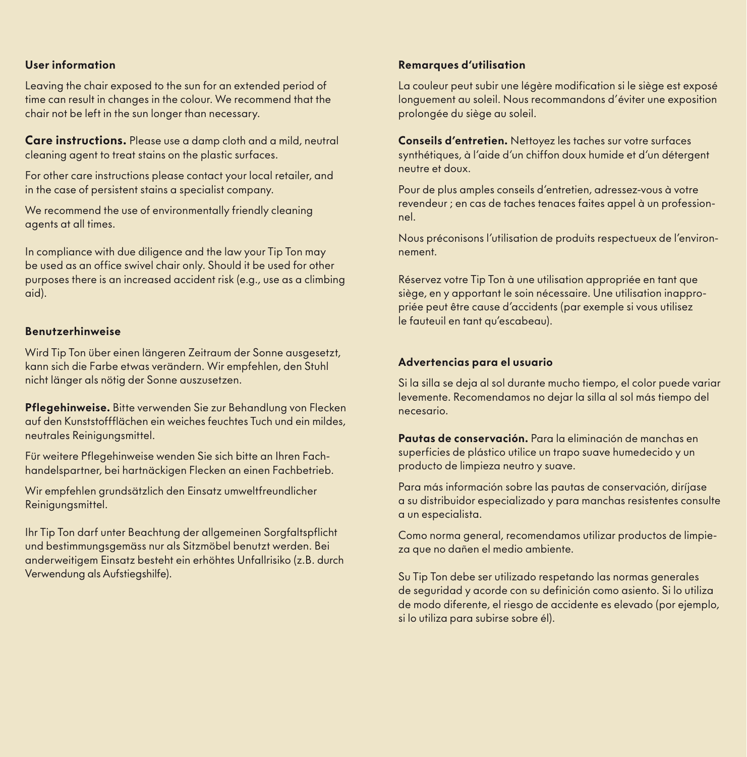## User information

Leaving the chair exposed to the sun for an extended period of time can result in changes in the colour. We recommend that the chair not be left in the sun longer than necessary.

Care instructions. Please use a damp cloth and a mild, neutral cleaning agent to treat stains on the plastic surfaces.

For other care instructions please contact your local retailer, and in the case of persistent stains a specialist company.

We recommend the use of environmentally friendly cleaning agents at all times.

In compliance with due diligence and the law your Tip Ton may be used as an office swivel chair only. Should it be used for other purposes there is an increased accident risk (e.g., use as a climbing aid).

#### Benutzerhinweise

Wird Tip Ton über einen längeren Zeitraum der Sonne ausgesetzt, kann sich die Farbe etwas verändern. Wir empfehlen, den Stuhl nicht länger als nötig der Sonne auszusetzen.

Pflegehinweise. Bitte verwenden Sie zur Behandlung von Flecken auf den Kunststoffflächen ein weiches feuchtes Tuch und ein mildes, neutrales Reinigungsmittel.

Für weitere Pflegehinweise wenden Sie sich bitte an Ihren Fachhandelspartner, bei hartnäckigen Flecken an einen Fachbetrieb.

Wir empfehlen grundsätzlich den Einsatz umweltfreundlicher Reinigungsmittel.

Ihr Tip Ton darf unter Beachtung der allgemeinen Sorgfaltspflicht und bestimmungsgemäss nur als Sitzmöbel benutzt werden. Bei anderweitigem Einsatz besteht ein erhöhtes Unfallrisiko (z.B. durch Verwendung als Aufstiegshilfe).

## Remarques d'utilisation

La couleur peut subir une légère modification si le siège est exposé longuement au soleil. Nous recommandons d'éviter une exposition prolongée du siège au soleil.

Conseils d'entretien. Nettoyez les taches sur votre surfaces synthétiques, à l'aide d'un chiffon doux humide et d'un détergent neutre et doux.

Pour de plus amples conseils d'entretien, adressez-vous à votre revendeur ; en cas de taches tenaces faites appel à un professionnel.

Nous préconisons l'utilisation de produits respectueux de l'environnement.

Réservez votre Tip Ton à une utilisation appropriée en tant que siège, en y apportant le soin nécessaire. Une utilisation inappropriée peut être cause d'accidents (par exemple si vous utilisez le fauteuil en tant qu'escabeau).

#### Advertencias para el usuario

Si la silla se deja al sol durante mucho tiempo, el color puede variar levemente. Recomendamos no dejar la silla al sol más tiempo del necesario.

Pautas de conservación. Para la eliminación de manchas en superficies de plástico utilice un trapo suave humedecido y un producto de limpieza neutro y suave.

Para más información sobre las pautas de conservación, diríjase a su distribuidor especializado y para manchas resistentes consulte a un especialista.

Como norma general, recomendamos utilizar productos de limpieza que no dañen el medio ambiente.

Su Tip Ton debe ser utilizado respetando las normas generales de seguridad y acorde con su definición como asiento. Si lo utiliza de modo diferente, el riesgo de accidente es elevado (por ejemplo, si lo utiliza para subirse sobre él).